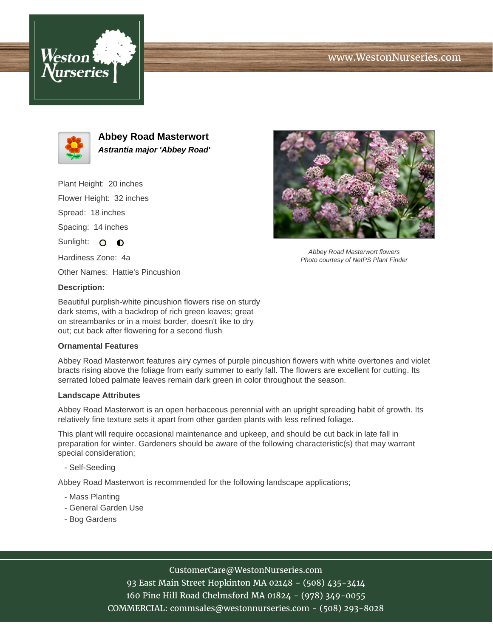# www.WestonNurseries.com





**Abbey Road Masterwort Astrantia major 'Abbey Road'**

Plant Height: 20 inches Flower Height: 32 inches Spread: 18 inches Spacing: 14 inches Sunlight: O **O** Hardiness Zone: 4a

Other Names: Hattie's Pincushion

## **Description:**

Beautiful purplish-white pincushion flowers rise on sturdy dark stems, with a backdrop of rich green leaves; great on streambanks or in a moist border, doesn't like to dry out; cut back after flowering for a second flush

## **Ornamental Features**

Abbey Road Masterwort features airy cymes of purple pincushion flowers with white overtones and violet bracts rising above the foliage from early summer to early fall. The flowers are excellent for cutting. Its serrated lobed palmate leaves remain dark green in color throughout the season.

#### **Landscape Attributes**

Abbey Road Masterwort is an open herbaceous perennial with an upright spreading habit of growth. Its relatively fine texture sets it apart from other garden plants with less refined foliage.

This plant will require occasional maintenance and upkeep, and should be cut back in late fall in preparation for winter. Gardeners should be aware of the following characteristic(s) that may warrant special consideration;

- Self-Seeding

Abbey Road Masterwort is recommended for the following landscape applications;

- Mass Planting
- General Garden Use
- Bog Gardens



Abbey Road Masterwort flowers Photo courtesy of NetPS Plant Finder

CustomerCare@WestonNurseries.com

93 East Main Street Hopkinton MA 02148 - (508) 435-3414 160 Pine Hill Road Chelmsford MA 01824 - (978) 349-0055 COMMERCIAL: commsales@westonnurseries.com - (508) 293-8028